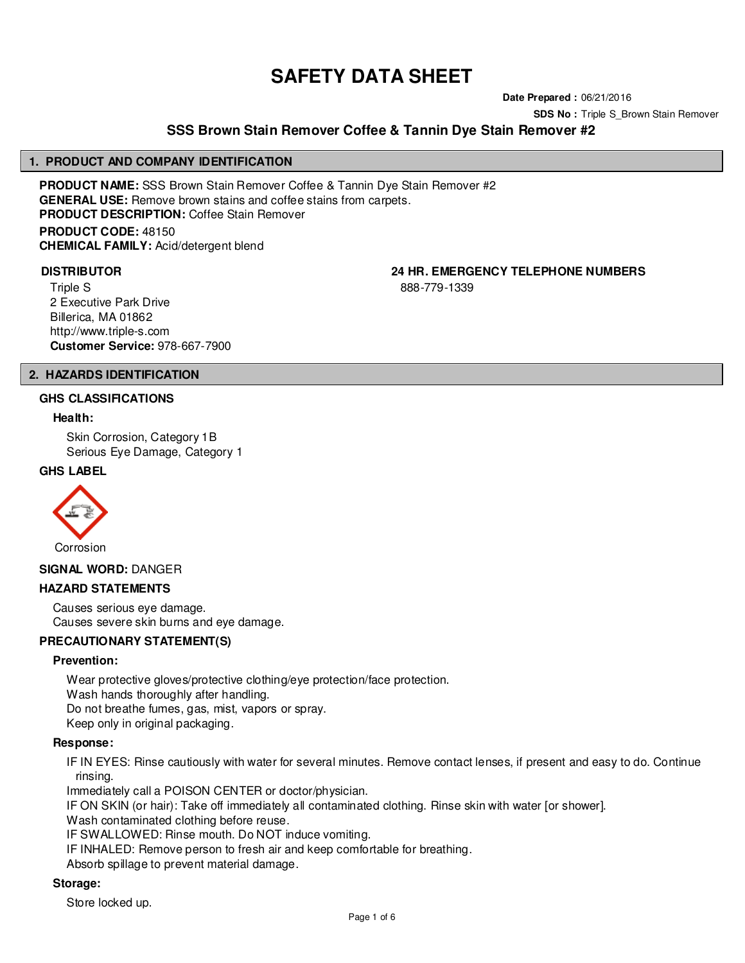# **SAFETY DATA SHEET**

**Date Prepared :** 06/21/2016

**SDS No :** Triple S\_Brown Stain Remover

# **SSS Brown Stain Remover Coffee & Tannin Dye Stain Remover #2**

#### **1. PRODUCT AND COMPANY IDENTIFICATION**

**PRODUCT NAME:** SSS Brown Stain Remover Coffee & Tannin Dye Stain Remover #2 **GENERAL USE:** Remove brown stains and coffee stains from carpets. **PRODUCT DESCRIPTION:** Coffee Stain Remover **PRODUCT CODE:** 48150 **CHEMICAL FAMILY:** Acid/detergent blend

Triple S 2 Executive Park Drive Billerica, MA 01862 http://www.triple-s.com **Customer Service:** 978-667-7900

**DISTRIBUTOR 24 HR. EMERGENCY TELEPHONE NUMBERS**

888-779-1339

# **2. HAZARDS IDENTIFICATION**

## **GHS CLASSIFICATIONS**

#### **Health:**

Skin Corrosion, Category 1B Serious Eye Damage, Category 1

### **GHS LABEL**



#### **SIGNAL WORD:** DANGER

#### **HAZARD STATEMENTS**

Causes serious eye damage. Causes severe skin burns and eye damage.

# **PRECAUTIONARY STATEMENT(S)**

#### **Prevention:**

Wear protective gloves/protective clothing/eye protection/face protection.

Wash hands thoroughly after handling.

Do not breathe fumes, gas, mist, vapors or spray.

Keep only in original packaging.

#### **Response:**

IF IN EYES: Rinse cautiously with water for several minutes. Remove contact lenses, if present and easy to do. Continue rinsing.

Immediately call a POISON CENTER or doctor/physician.

IF ON SKIN (or hair): Take off immediately all contaminated clothing. Rinse skin with water [or shower].

Wash contaminated clothing before reuse.

IF SWALLOWED: Rinse mouth. Do NOT induce vomiting.

IF INHALED: Remove person to fresh air and keep comfortable for breathing.

Absorb spillage to prevent material damage.

# **Storage:**

Store locked up.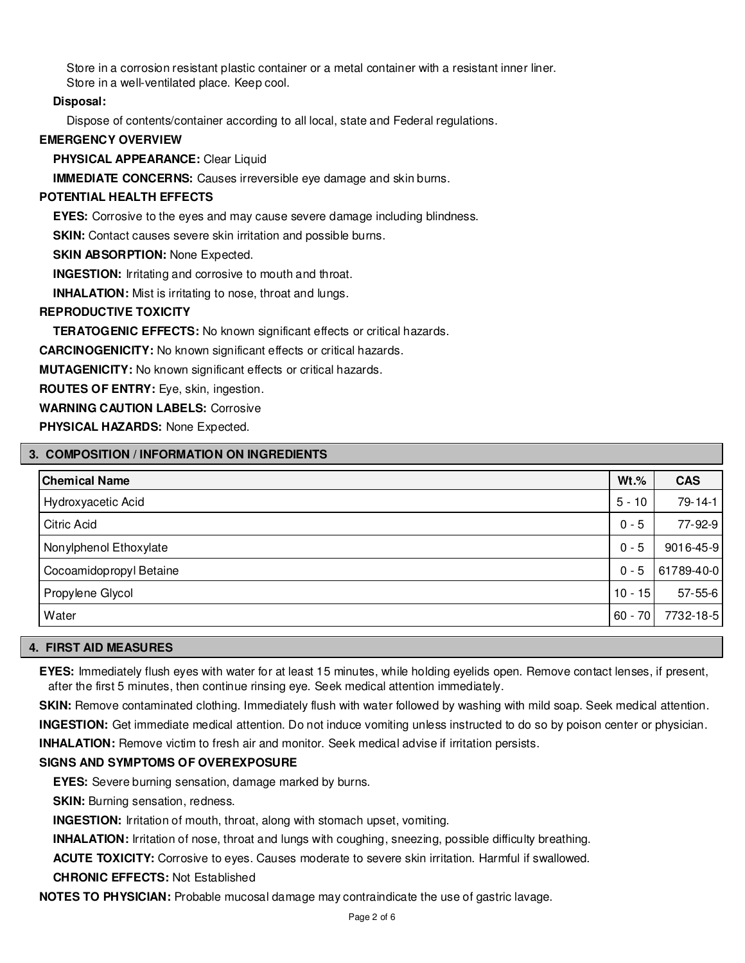Store in a corrosion resistant plastic container or a metal container with a resistant inner liner. Store in a well-ventilated place. Keep cool.

# **Disposal:**

Dispose of contents/container according to all local, state and Federal regulations.

## **EMERGENCY OVERVIEW**

**PHYSICAL APPEARANCE:** Clear Liquid

**IMMEDIATE CONCERNS:** Causes irreversible eye damage and skin burns.

#### **POTENTIAL HEALTH EFFECTS**

**EYES:** Corrosive to the eyes and may cause severe damage including blindness.

**SKIN:** Contact causes severe skin irritation and possible burns.

**SKIN ABSORPTION: None Expected.** 

**INGESTION:** Irritating and corrosive to mouth and throat.

**INHALATION:** Mist is irritating to nose, throat and lungs.

#### **REPRODUCTIVE TOXICITY**

**TERATOGENIC EFFECTS:** No known significant effects or critical hazards.

**CARCINOGENICITY:** No known significant effects or critical hazards.

**MUTAGENICITY:** No known significant effects or critical hazards.

**ROUTES OF ENTRY:** Eye, skin, ingestion.

**WARNING CAUTION LABELS:** Corrosive

**PHYSICAL HAZARDS:** None Expected.

## **3. COMPOSITION / INFORMATION ON INGREDIENTS**

| <b>Chemical Name</b>    | $Wt.\%$   | <b>CAS</b>    |
|-------------------------|-----------|---------------|
| Hydroxyacetic Acid      | $5 - 10$  | 79-14-1       |
| <b>Citric Acid</b>      | $0 - 5$   | 77-92-9       |
| Nonylphenol Ethoxylate  | $0 - 5$   | 9016-45-9     |
| Cocoamidopropyl Betaine | $0 - 5$   | 61789-40-0    |
| Propylene Glycol        | $10 - 15$ | $57 - 55 - 6$ |
| Water                   | $60 - 70$ | 7732-18-5     |

#### **4. FIRST AID MEASURES**

**EYES:** Immediately flush eyes with water for at least 15 minutes, while holding eyelids open. Remove contact lenses, if present, after the first 5 minutes, then continue rinsing eye. Seek medical attention immediately.

**SKIN:** Remove contaminated clothing. Immediately flush with water followed by washing with mild soap. Seek medical attention.

**INGESTION:** Get immediate medical attention. Do not induce vomiting unless instructed to do so by poison center or physician.

**INHALATION:** Remove victim to fresh air and monitor. Seek medical advise if irritation persists.

# **SIGNS AND SYMPTOMS OF OVEREXPOSURE**

**EYES:** Severe burning sensation, damage marked by burns.

**SKIN:** Burning sensation, redness.

**INGESTION:** Irritation of mouth, throat, along with stomach upset, vomiting.

**INHALATION:** Irritation of nose, throat and lungs with coughing, sneezing, possible difficulty breathing.

**ACUTE TOXICITY:** Corrosive to eyes. Causes moderate to severe skin irritation. Harmful if swallowed.

### **CHRONIC EFFECTS:** Not Established

**NOTES TO PHYSICIAN:** Probable mucosal damage may contraindicate the use of gastric lavage.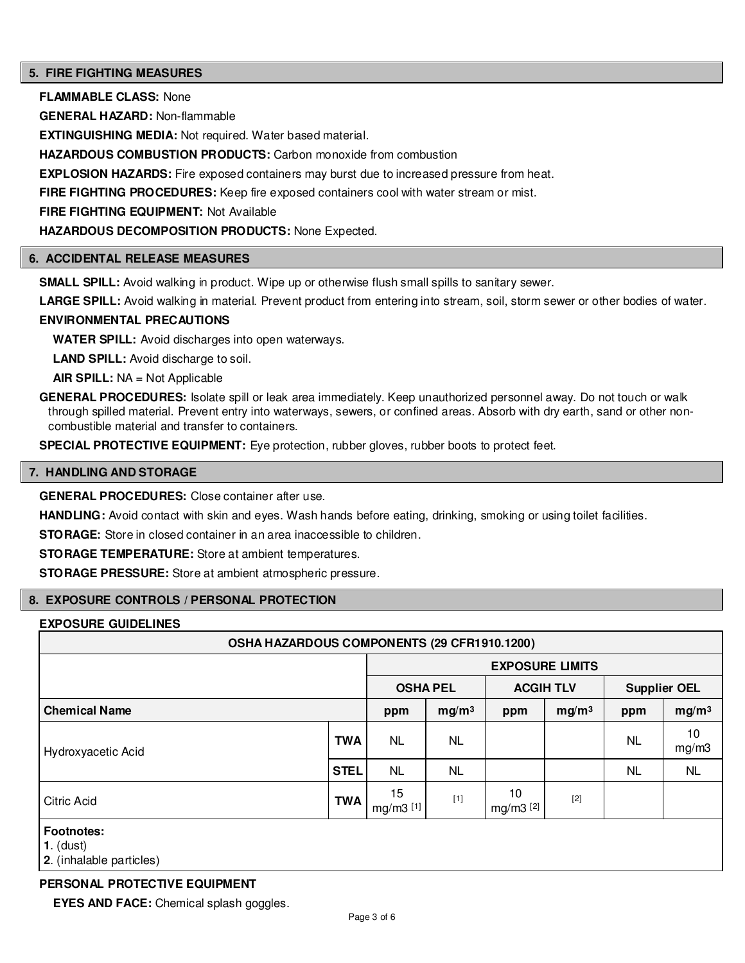### **5. FIRE FIGHTING MEASURES**

**FLAMMABLE CLASS:** None

**GENERAL HAZARD:** Non-flammable

**EXTINGUISHING MEDIA:** Not required. Water based material.

**HAZARDOUS COMBUSTION PRODUCTS:** Carbon monoxide from combustion

**EXPLOSION HAZARDS:** Fire exposed containers may burst due to increased pressure from heat.

**FIRE FIGHTING PROCEDURES:** Keep fire exposed containers cool with water stream or mist.

**FIRE FIGHTING EQUIPMENT:** Not Available

**HAZARDOUS DECOMPOSITION PRODUCTS:** None Expected.

#### **6. ACCIDENTAL RELEASE MEASURES**

**SMALL SPILL:** Avoid walking in product. Wipe up or otherwise flush small spills to sanitary sewer.

**LARGE SPILL:** Avoid walking in material. Prevent product from entering into stream, soil, storm sewer or other bodies of water.

# **ENVIRONMENTAL PRECAUTIONS**

**WATER SPILL:** Avoid discharges into open waterways.

**LAND SPILL:** Avoid discharge to soil.

**AIR SPILL:** NA = Not Applicable

**GENERAL PROCEDURES:** Isolate spill or leak area immediately. Keep unauthorized personnel away. Do not touch or walk through spilled material. Prevent entry into waterways, sewers, or confined areas. Absorb with dry earth, sand or other noncombustible material and transfer to containers.

**SPECIAL PROTECTIVE EQUIPMENT:** Eye protection, rubber gloves, rubber boots to protect feet.

#### **7. HANDLING AND STORAGE**

**GENERAL PROCEDURES:** Close container after use.

**HANDLING:** Avoid contact with skin and eyes. Wash hands before eating, drinking, smoking or using toilet facilities.

**STORAGE:** Store in closed container in an area inaccessible to children.

**STORAGE TEMPERATURE:** Store at ambient temperatures.

**STORAGE PRESSURE:** Store at ambient atmospheric pressure.

#### **8. EXPOSURE CONTROLS / PERSONAL PROTECTION**

#### **EXPOSURE GUIDELINES**

| OSHA HAZARDOUS COMPONENTS (29 CFR1910.1200)                  |             |                        |                   |                  |                   |                     |                   |
|--------------------------------------------------------------|-------------|------------------------|-------------------|------------------|-------------------|---------------------|-------------------|
|                                                              |             | <b>EXPOSURE LIMITS</b> |                   |                  |                   |                     |                   |
|                                                              |             | <b>OSHA PEL</b>        |                   | <b>ACGIH TLV</b> |                   | <b>Supplier OEL</b> |                   |
| <b>Chemical Name</b>                                         |             | ppm                    | mg/m <sup>3</sup> | ppm              | mg/m <sup>3</sup> | ppm                 | mg/m <sup>3</sup> |
| Hydroxyacetic Acid                                           | <b>TWA</b>  | <b>NL</b>              | <b>NL</b>         |                  |                   | <b>NL</b>           | 10<br>mg/m3       |
|                                                              | <b>STEL</b> | <b>NL</b>              | <b>NL</b>         |                  |                   | <b>NL</b>           | <b>NL</b>         |
| Citric Acid                                                  | <b>TWA</b>  | 15<br>mg/m3 [1]        | $[1]$             | 10<br>mg/m3 [2]  | $[2]$             |                     |                   |
| <b>Footnotes:</b><br>$1.$ (dust)<br>2. (inhalable particles) |             |                        |                   |                  |                   |                     |                   |

# **PERSONAL PROTECTIVE EQUIPMENT**

**EYES AND FACE:** Chemical splash goggles.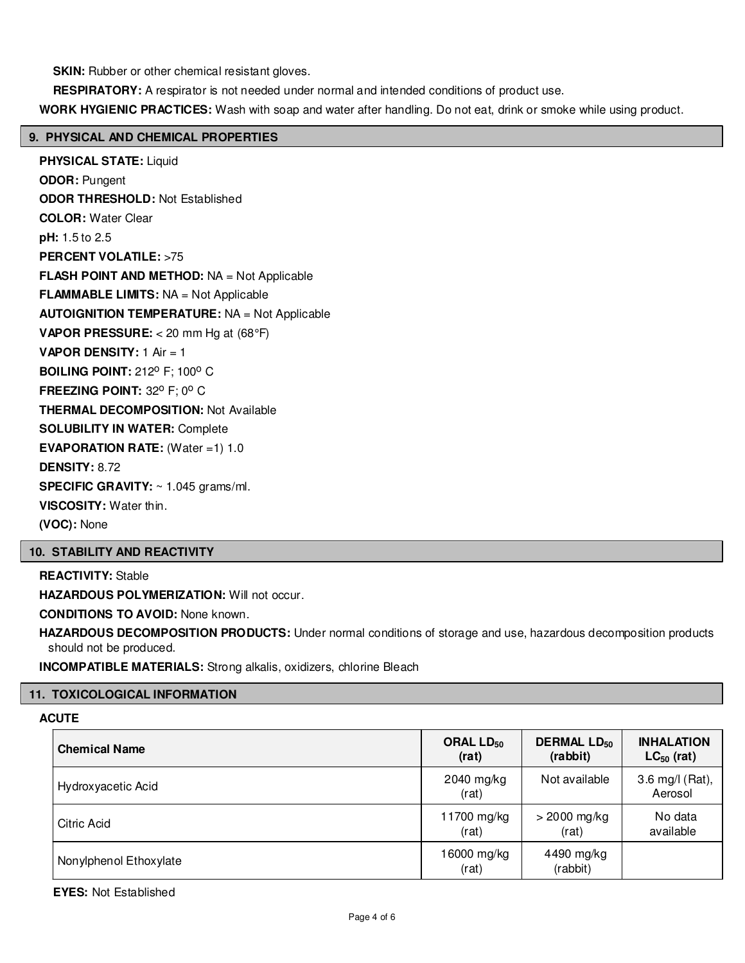**SKIN:** Rubber or other chemical resistant gloves.

**RESPIRATORY:** A respirator is not needed under normal and intended conditions of product use.

**WORK HYGIENIC PRACTICES:** Wash with soap and water after handling. Do not eat, drink or smoke while using product.

# **9. PHYSICAL AND CHEMICAL PROPERTIES**

**PHYSICAL STATE:** Liquid **ODOR:** Pungent **ODOR THRESHOLD:** Not Established **COLOR:** Water Clear **pH:** 1.5 to 2.5 **PERCENT VOLATILE:** >75 **FLASH POINT AND METHOD:** NA = Not Applicable **FLAMMABLE LIMITS:** NA = Not Applicable **AUTOIGNITION TEMPERATURE:** NA = Not Applicable **VAPOR PRESSURE:** < 20 mm Hg at (68°F) **VAPOR DENSITY:** 1 Air = 1 **BOILING POINT: 212° F: 100° C FREEZING POINT: 32° F; 0° C THERMAL DECOMPOSITION:** Not Available **SOLUBILITY IN WATER:** Complete **EVAPORATION RATE:** (Water =1) 1.0 **DENSITY:** 8.72 **SPECIFIC GRAVITY:** ~ 1.045 grams/ml. **VISCOSITY:** Water thin. **(VOC):** None

#### **10. STABILITY AND REACTIVITY**

**REACTIVITY:** Stable **HAZARDOUS POLYMERIZATION: Will not occur. CONDITIONS TO AVOID:** None known.

**HAZARDOUS DECOMPOSITION PRODUCTS:** Under normal conditions of storage and use, hazardous decomposition products should not be produced.

**INCOMPATIBLE MATERIALS:** Strong alkalis, oxidizers, chlorine Bleach

#### **11. TOXICOLOGICAL INFORMATION**

# **ACUTE**

| <b>Chemical Name</b>   | ORAL $LD_{50}$       | <b>DERMAL LD<sub>50</sub></b> | <b>INHALATION</b>          |
|------------------------|----------------------|-------------------------------|----------------------------|
|                        | (rat)                | (rabbit)                      | $LC_{50}$ (rat)            |
| Hydroxyacetic Acid     | 2040 mg/kg<br>(rat)  | Not available                 | 3.6 mg/l (Rat),<br>Aerosol |
| Citric Acid            | 11700 mg/kg          | $>$ 2000 mg/kg                | No data                    |
|                        | (rat)                | (rat)                         | available                  |
| Nonylphenol Ethoxylate | 16000 mg/kg<br>(rat) | 4490 mg/kg<br>(rabbit)        |                            |

**EYES:** Not Established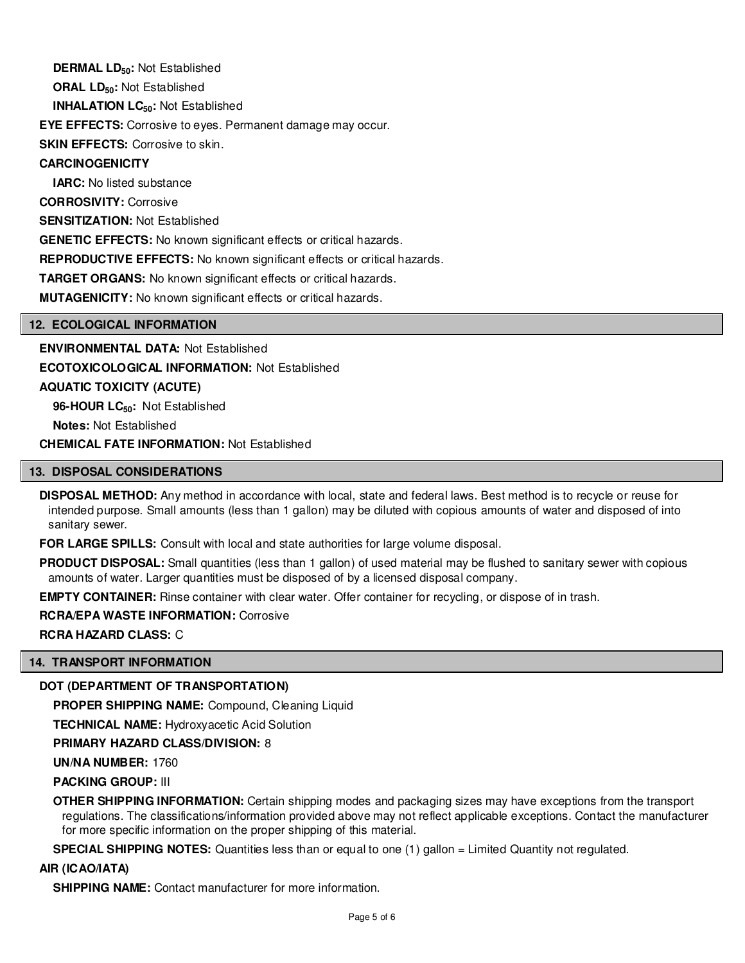**DERMAL LD50:** Not Established **ORAL LD50:** Not Established **INHALATION LC50:** Not Established **EYE EFFECTS:** Corrosive to eyes. Permanent damage may occur. **SKIN EFFECTS: Corrosive to skin. CARCINOGENICITY IARC:** No listed substance **CORROSIVITY:** Corrosive **SENSITIZATION:** Not Established **GENETIC EFFECTS:** No known significant effects or critical hazards. **REPRODUCTIVE EFFECTS:** No known significant effects or critical hazards. **TARGET ORGANS:** No known significant effects or critical hazards. **MUTAGENICITY:** No known significant effects or critical hazards.

## **12. ECOLOGICAL INFORMATION**

**ENVIRONMENTAL DATA:** Not Established **ECOTOXICOLOGICAL INFORMATION:** Not Established **AQUATIC TOXICITY (ACUTE) 96-HOUR LC50:** Not Established **Notes:** Not Established

**CHEMICAL FATE INFORMATION:** Not Established

#### **13. DISPOSAL CONSIDERATIONS**

**DISPOSAL METHOD:** Any method in accordance with local, state and federal laws. Best method is to recycle or reuse for intended purpose. Small amounts (less than 1 gallon) may be diluted with copious amounts of water and disposed of into sanitary sewer.

**FOR LARGE SPILLS:** Consult with local and state authorities for large volume disposal.

**PRODUCT DISPOSAL:** Small quantities (less than 1 gallon) of used material may be flushed to sanitary sewer with copious amounts of water. Larger quantities must be disposed of by a licensed disposal company.

**EMPTY CONTAINER:** Rinse container with clear water. Offer container for recycling, or dispose of in trash.

**RCRA/EPA WASTE INFORMATION:** Corrosive

**RCRA HAZARD CLASS:** C

#### **14. TRANSPORT INFORMATION**

#### **DOT (DEPARTMENT OF TRANSPORTATION)**

**PROPER SHIPPING NAME:** Compound, Cleaning Liquid

**TECHNICAL NAME:** Hydroxyacetic Acid Solution

**PRIMARY HAZARD CLASS/DIVISION:** 8

**UN/NA NUMBER:** 1760

**PACKING GROUP:** III

**OTHER SHIPPING INFORMATION:** Certain shipping modes and packaging sizes may have exceptions from the transport regulations. The classifications/information provided above may not reflect applicable exceptions. Contact the manufacturer for more specific information on the proper shipping of this material.

**SPECIAL SHIPPING NOTES:** Quantities less than or equal to one (1) gallon = Limited Quantity not regulated.

#### **AIR (ICAO/IATA)**

**SHIPPING NAME:** Contact manufacturer for more information.